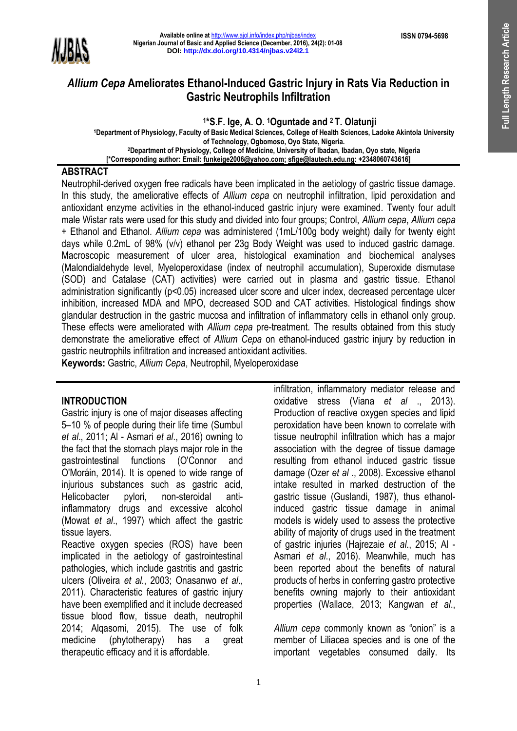

# *Allium Cepa* **Ameliorates Ethanol-Induced Gastric Injury in Rats Via Reduction in Gastric Neutrophils Infiltration**

**1 \*S.F. Ige, A. O. 1Oguntade and 2 T. Olatunji**

**<sup>1</sup>Department of Physiology, Faculty of Basic Medical Sciences, College of Health Sciences, Ladoke Akintola University of Technology, Ogbomoso, Oyo State, Nigeria. <sup>2</sup>Department of Physiology, College of Medicine, University of Ibadan, Ibadan, Oyo state, Nigeria [\*Corresponding author: Email: funkeige2006@yahoo.com; sfige@lautech.edu.ng: +2348060743616]**

#### **ABSTRACT**

Neutrophil-derived oxygen free radicals have been implicated in the aetiology of gastric tissue damage. In this study, the ameliorative effects of *Allium cepa* on neutrophil infiltration, lipid peroxidation and antioxidant enzyme activities in the ethanol-induced gastric injury were examined. Twenty four adult male Wistar rats were used for this study and divided into four groups; Control, *Allium cepa*, *Allium cepa* + Ethanol and Ethanol. *Allium cepa* was administered (1mL/100g body weight) daily for twenty eight days while 0.2mL of 98% (v/v) ethanol per 23g Body Weight was used to induced gastric damage. Macroscopic measurement of ulcer area, histological examination and biochemical analyses (Malondialdehyde level, Myeloperoxidase (index of neutrophil accumulation), Superoxide dismutase (SOD) and Catalase (CAT) activities) were carried out in plasma and gastric tissue. Ethanol administration significantly (p<0.05) increased ulcer score and ulcer index, decreased percentage ulcer inhibition, increased MDA and MPO, decreased SOD and CAT activities. Histological findings show glandular destruction in the gastric mucosa and infiltration of inflammatory cells in ethanol only group. These effects were ameliorated with *Allium cepa* pre-treatment. The results obtained from this study demonstrate the ameliorative effect of *Allium Cepa* on ethanol-induced gastric injury by reduction in gastric neutrophils infiltration and increased antioxidant activities.

**Keywords:** Gastric, *Allium Cepa*, Neutrophil, Myeloperoxidase

## **INTRODUCTION**

Gastric injury is one of major diseases affecting 5–10 % of people during their life time (Sumbul *et al*., 2011; Al - Asmari *et al*., 2016) owning to the fact that the stomach plays major role in the gastrointestinal functions [\(O'Connor a](https://www.ncbi.nlm.nih.gov/pubmed/?term=O%27Connor%20A%5BAuthor%5D&cauthor=true&cauthor_uid=24732181)nd [O'Moráin,](https://www.ncbi.nlm.nih.gov/pubmed/?term=O%27Mor%C3%A1in%20C%5BAuthor%5D&cauthor=true&cauthor_uid=24732181) 2014). It is opened to wide range of injurious substances such as gastric acid, Helicobacter pylori, non-steroidal antiinflammatory drugs and excessive alcohol (Mowat *et al*., 1997) which affect the gastric tissue layers.

Reactive oxygen species (ROS) have been implicated in the aetiology of gastrointestinal pathologies, which include gastritis and gastric ulcers (Oliveira *et al.*, 2003; Onasanwo *et al*., 2011). Characteristic features of gastric injury have been exemplified and it include decreased tissue blood flow, tissue death, neutrophil 2014; Alqasomi, 2015). The use of folk medicine (phytotherapy) has a great therapeutic efficacy and it is affordable.

*Allium cepa* commonly known as "onion" is a member of Liliacea species and is one of the important vegetables consumed daily. Its

infiltration, inflammatory mediator release and oxidative stress (Viana *et al* ., 2013). Production of reactive oxygen species and lipid peroxidation have been known to correlate with tissue neutrophil infiltration which has a major association with the degree of tissue damage resulting from ethanol induced gastric tissue damage (Ozer *et al* ., 2008). Excessive ethanol intake resulted in marked destruction of the gastric tissue (Guslandi, 1987), thus ethanolinduced gastric tissue damage in animal models is widely used to assess the protective ability of majority of drugs used in the treatment of gastric injuries (Hajrezaie *et al*., 2015; Al - Asmari *et al*., 2016). Meanwhile, much has been reported about the benefits of natural products of herbs in conferring gastro protective benefits owning majorly to their antioxidant properties (Wallace, 2013; Kangwan *et al*.,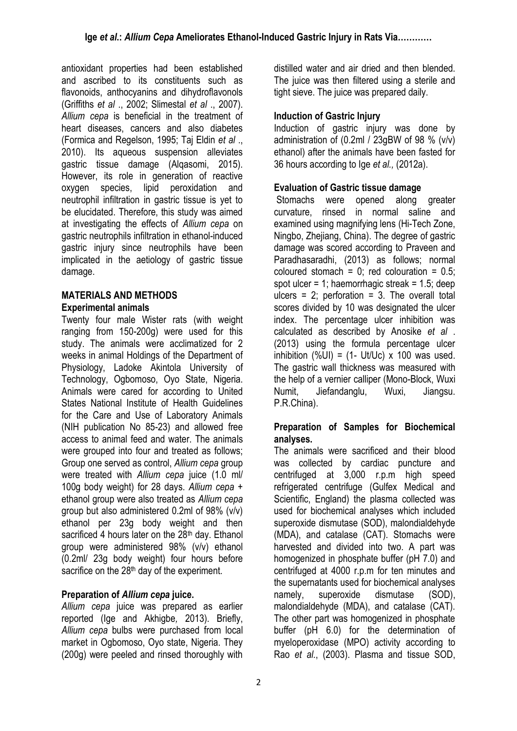antioxidant properties had been established and ascribed to its constituents such as flavonoids, anthocyanins and dihydroflavonols (Griffiths *et al* ., 2002; Slimestal *et al* ., 2007). *Allium cepa* is beneficial in the treatment of heart diseases, cancers and also diabetes (Formica and Regelson, 1995; Taj Eldin *et al* ., 2010). Its aqueous suspension alleviates gastric tissue damage (Alqasomi, 2015). However, its role in generation of reactive oxygen species, lipid peroxidation and neutrophil infiltration in gastric tissue is yet to be elucidated. Therefore, this study was aimed at investigating the effects of *Allium cepa* on gastric neutrophils infiltration in ethanol-induced gastric injury since neutrophils have been implicated in the aetiology of gastric tissue damage.

## **MATERIALS AND METHODS Experimental animals**

Twenty four male Wister rats (with weight ranging from 150-200g) were used for this study. The animals were acclimatized for 2 weeks in animal Holdings of the Department of Physiology, Ladoke Akintola University of Technology, Ogbomoso, Oyo State, Nigeria. Animals were cared for according to United States National Institute of Health Guidelines for the Care and Use of Laboratory Animals (NIH publication No 85-23) and allowed free access to animal feed and water. The animals were grouped into four and treated as follows; Group one served as control, *Allium cepa* group were treated with *Allium cepa* juice (1.0 ml/ 100g body weight) for 28 days. *Allium cepa* + ethanol group were also treated as *Allium cepa* group but also administered 0.2ml of 98% (v/v) ethanol per 23g body weight and then sacrificed 4 hours later on the 28<sup>th</sup> day. Ethanol group were administered 98% (v/v) ethanol (0.2ml/ 23g body weight) four hours before sacrifice on the 28<sup>th</sup> day of the experiment.

# **Preparation of** *Allium cepa* **juice.**

*Allium cepa* juice was prepared as earlier reported (Ige and Akhigbe*,* 2013). Briefly, *Allium cepa* bulbs were purchased from local market in Ogbomoso, Oyo state, Nigeria. They (200g) were peeled and rinsed thoroughly with distilled water and air dried and then blended. The juice was then filtered using a sterile and tight sieve. The juice was prepared daily.

# **Induction of Gastric Injury**

Induction of gastric injury was done by administration of (0.2ml / 23gBW of 98 % (v/v) ethanol) after the animals have been fasted for 36 hours according to Ige *et al.,* (2012a).

## **Evaluation of Gastric tissue damage**

Stomachs were opened along greater curvature, rinsed in normal saline and examined using magnifying lens (Hi-Tech Zone, Ningbo, Zhejiang, China). The degree of gastric damage was scored according to Praveen and Paradhasaradhi, (2013) as follows; normal coloured stomach =  $0$ ; red colouration =  $0.5$ ; spot ulcer = 1; haemorrhagic streak =  $1.5$ ; deep ulcers = 2; perforation = 3. The overall total scores divided by 10 was designated the ulcer index. The percentage ulcer inhibition was calculated as described by Anosike *et al* . (2013) using the formula percentage ulcer inhibition  $(\frac{1}{2}UI) = (1 - Ut/UC) \times 100$  was used. The gastric wall thickness was measured with the help of a vernier calliper (Mono-Block, Wuxi Numit, Jiefandanglu, Wuxi, Jiangsu. P.R.China).

## **Preparation of Samples for Biochemical analyses.**

The animals were sacrificed and their blood was collected by cardiac puncture and centrifuged at 3,000 r.p.m high speed refrigerated centrifuge (Gulfex Medical and Scientific, England) the plasma collected was used for biochemical analyses which included superoxide dismutase (SOD), malondialdehyde (MDA), and catalase (CAT). Stomachs were harvested and divided into two. A part was homogenized in phosphate buffer (pH 7.0) and centrifuged at 4000 r.p.m for ten minutes and the supernatants used for biochemical analyses namely, superoxide dismutase (SOD), malondialdehyde (MDA), and catalase (CAT). The other part was homogenized in phosphate buffer (pH 6.0) for the determination of myeloperoxidase (MPO) activity according to Rao *et al.*, (2003). Plasma and tissue SOD,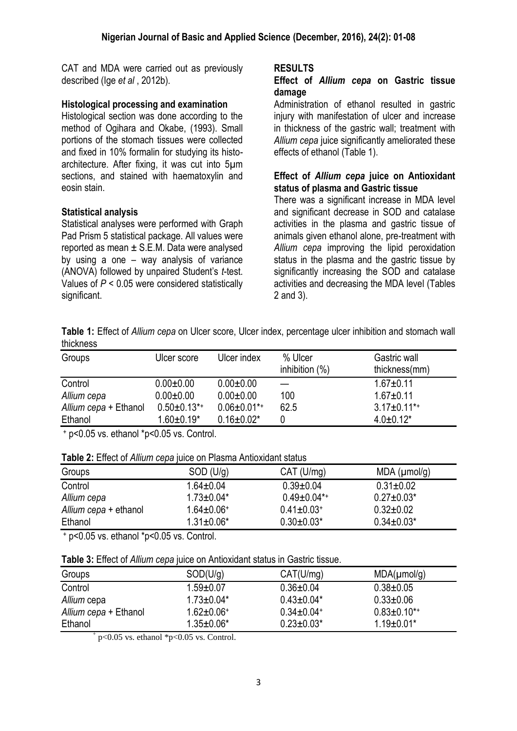CAT and MDA were carried out as previously described (Ige *et al* , 2012b).

#### **Histological processing and examination**

Histological section was done according to the method of Ogihara and Okabe, (1993). Small portions of the stomach tissues were collected and fixed in 10% formalin for studying its histoarchitecture. After fixing, it was cut into 5µm sections, and stained with haematoxylin and eosin stain.

#### **Statistical analysis**

Statistical analyses were performed with Graph Pad Prism 5 statistical package. All values were reported as mean  $\pm$  S.E.M. Data were analysed by using a one – way analysis of variance (ANOVA) followed by unpaired Student's *t*-test. Values of *P* < 0.05 were considered statistically significant.

#### **RESULTS**

#### **Effect of** *Allium cepa* **on Gastric tissue damage**

Administration of ethanol resulted in gastric injury with manifestation of ulcer and increase in thickness of the gastric wall; treatment with *Allium cepa* juice significantly ameliorated these effects of ethanol (Table 1).

#### **Effect of** *Allium cepa* **juice on Antioxidant status of plasma and Gastric tissue**

There was a significant increase in MDA level and significant decrease in SOD and catalase activities in the plasma and gastric tissue of animals given ethanol alone, pre-treatment with *Allium cepa* improving the lipid peroxidation status in the plasma and the gastric tissue by significantly increasing the SOD and catalase activities and decreasing the MDA level (Tables 2 and 3).

**Table 1:** Effect of *Allium cepa* on Ulcer score, Ulcer index, percentage ulcer inhibition and stomach wall thickness

| Groups                | Ulcer score         | Ulcer index        | % Ulcer<br>inhibition $(\%)$ | Gastric wall<br>thickness(mm) |
|-----------------------|---------------------|--------------------|------------------------------|-------------------------------|
| Control               | $0.00 + 0.00$       | $0.00 + 0.00$      |                              | $1.67 + 0.11$                 |
| Allium cepa           | $0.00 + 0.00$       | $0.00 + 0.00$      | 100                          | $1.67 + 0.11$                 |
| Allium cepa + Ethanol | $0.50 \pm 0.13^{*}$ | $0.06 \pm 0.01$ *+ | 62.5                         | $3.17 \pm 0.11$ *+            |
| Ethanol               | $1.60 \pm 0.19^*$   | $0.16 \pm 0.02^*$  |                              | $4.0 \pm 0.12^*$              |

<sup>+</sup> p<0.05 vs. ethanol \*p<0.05 vs. Control.

|  | Table 2: Effect of Allium cepa juice on Plasma Antioxidant status |
|--|-------------------------------------------------------------------|
|--|-------------------------------------------------------------------|

| Groups                | SOD (U/g)         | CAT (U/mg)                   | $MDA$ ( $µmol/g$ ) |
|-----------------------|-------------------|------------------------------|--------------------|
| Control               | $1.64 \pm 0.04$   | $0.39 + 0.04$                | $0.31 \pm 0.02$    |
| Allium cepa           | $1.73 \pm 0.04*$  | $0.49 \pm 0.04$ *+           | $0.27 \pm 0.03^*$  |
| Allium cepa + ethanol | $1.64 \pm 0.06^+$ | $0.41 \pm 0.03$ <sup>+</sup> | $0.32 \pm 0.02$    |
| Ethanol               | $1.31 \pm 0.06*$  | $0.30 \pm 0.03^*$            | $0.34 \pm 0.03^*$  |
|                       |                   |                              |                    |

<sup>+</sup> p<0.05 vs. ethanol \*p<0.05 vs. Control.

|  | Table 3: Effect of Allium cepa juice on Antioxidant status in Gastric tissue. |
|--|-------------------------------------------------------------------------------|
|--|-------------------------------------------------------------------------------|

| Groups                | SOD(U/g)                     | CAT(U/mg)                    | $MDA(\mu mol/g)$    |
|-----------------------|------------------------------|------------------------------|---------------------|
| Control               | $1.59 + 0.07$                | $0.36 \pm 0.04$              | $0.38 + 0.05$       |
| Allium cepa           | $1.73 \pm 0.04*$             | $0.43 \pm 0.04*$             | $0.33 + 0.06$       |
| Allium cepa + Ethanol | $1.62 \pm 0.06$ <sup>+</sup> | $0.34 \pm 0.04$ <sup>+</sup> | $0.83 \pm 0.10^{*}$ |
| Ethanol               | $1.35 \pm 0.06*$             | $0.23 \pm 0.03^*$            | $1.19 \pm 0.01*$    |

 $+$  p<0.05 vs. ethanol  $*$ p<0.05 vs. Control.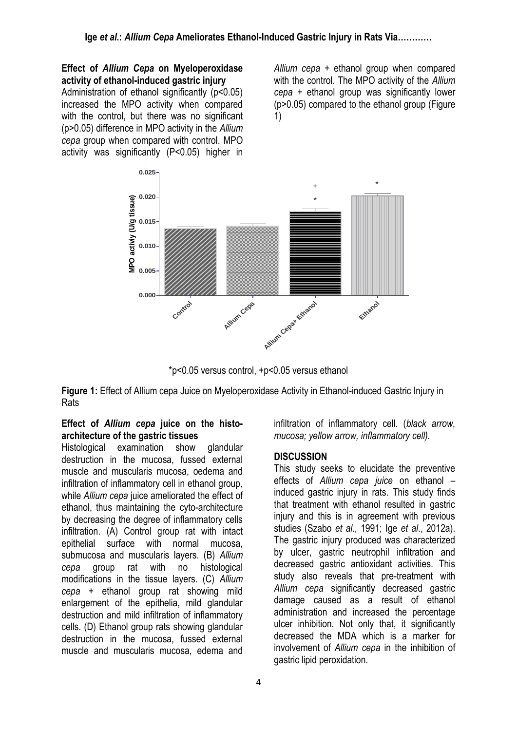#### **Effect of** *Allium Cepa* **on Myeloperoxidase activity of ethanol-induced gastric injury**

Administration of ethanol significantly (p<0.05) increased the MPO activity when compared with the control, but there was no significant (p>0.05) difference in MPO activity in the *Allium cepa* group when compared with control. MPO activity was significantly (P<0.05) higher in *Allium cepa* + ethanol group when compared with the control. The MPO activity of the *Allium cepa* + ethanol group was significantly lower (p>0.05) compared to the ethanol group (Figure 1)



\*p<0.05 versus control, +p<0.05 versus ethanol

**Figure 1:** Effect of Allium cepa Juice on Myeloperoxidase Activity in Ethanol-induced Gastric Injury in Rats

## **Effect of** *Allium cepa* **juice on the histoarchitecture of the gastric tissues**

Histological examination show glandular destruction in the mucosa, fussed external muscle and muscularis mucosa, oedema and infiltration of inflammatory cell in ethanol group, while *Allium cepa* juice ameliorated the effect of ethanol, thus maintaining the cyto-architecture by decreasing the degree of inflammatory cells infiltration. (A) Control group rat with intact epithelial surface with normal mucosa, submucosa and muscularis layers. (B) *Allium cepa* group rat with no histological modifications in the tissue layers. (C) *Allium cepa* + ethanol group rat showing mild enlargement of the epithelia, mild glandular destruction and mild infiltration of inflammatory cells. (D) Ethanol group rats showing glandular destruction in the mucosa, fussed external muscle and muscularis mucosa, edema and infiltration of inflammatory cell. (*black arrow, mucosa; yellow arrow, inflammatory cell).*

## **DISCUSSION**

This study seeks to elucidate the preventive effects of *Allium cepa juice* on ethanol – induced gastric injury in rats. This study finds that treatment with ethanol resulted in gastric injury and this is in agreement with previous studies (Szabo *et al.,* 1991; Ige *et al*., 2012a). The gastric injury produced was characterized by ulcer, gastric neutrophil infiltration and decreased gastric antioxidant activities. This study also reveals that pre-treatment with *Allium cepa* significantly decreased gastric damage caused as a result of ethanol administration and increased the percentage ulcer inhibition. Not only that, it significantly decreased the MDA which is a marker for involvement of *Allium cepa* in the inhibition of gastric lipid peroxidation.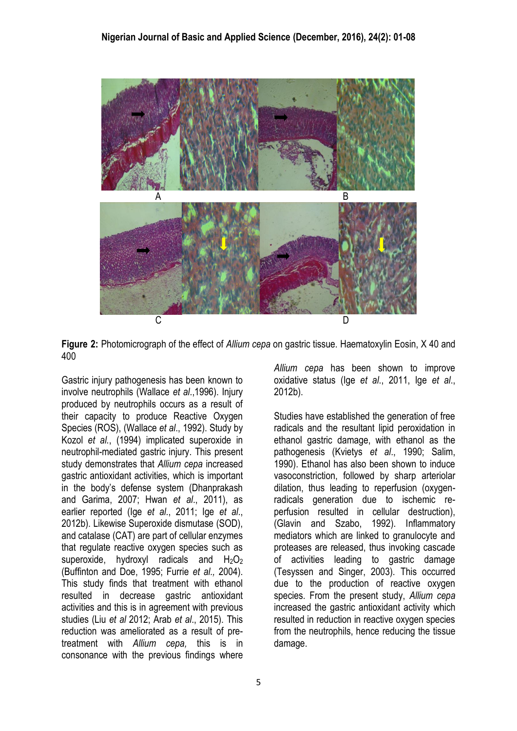

**Figure 2:** Photomicrograph of the effect of *Allium cepa* on gastric tissue. Haematoxylin Eosin, X 40 and 400

Gastric injury pathogenesis has been known to involve neutrophils (Wallace *et al*.,1996). Injury produced by neutrophils occurs as a result of their capacity to produce Reactive Oxygen Species (ROS), (Wallace *et al*., 1992). Study by Kozol *et al.*, (1994) implicated superoxide in neutrophil-mediated gastric injury. This present study demonstrates that *Allium cepa* increased gastric antioxidant activities, which is important in the body's defense system (Dhanprakash and Garima, 2007; Hwan *et al*., 2011), as earlier reported (Ige *et al*., 2011; Ige *et al*., 2012b). Likewise Superoxide dismutase (SOD), and catalase (CAT) are part of cellular enzymes that regulate reactive oxygen species such as superoxide, hydroxyl radicals and  $H_2O_2$ (Buffinton and Doe, 1995; Furrie *et al.,* 2004). This study finds that treatment with ethanol resulted in decrease gastric antioxidant activities and this is in agreement with previous studies (Liu *et al* 2012; Arab *et al*., 2015). This reduction was ameliorated as a result of pretreatment with *Allium cepa,* this is in consonance with the previous findings where

*Allium cepa* has been shown to improve oxidative status (Ige *et al*., 2011, Ige *et al*., 2012b).

Studies have established the generation of free radicals and the resultant lipid peroxidation in ethanol gastric damage, with ethanol as the pathogenesis (Kvietys *et al*., 1990; Salim, 1990). Ethanol has also been shown to induce vasoconstriction, followed by sharp arteriolar dilation, thus leading to reperfusion (oxygenradicals generation due to ischemic reperfusion resulted in cellular destruction), (Glavin and Szabo, 1992). Inflammatory mediators which are linked to granulocyte and proteases are released, thus invoking cascade of activities leading to gastric damage (Tesyssen and Singer, 2003). This occurred due to the production of reactive oxygen species. From the present study, *Allium cepa* increased the gastric antioxidant activity which resulted in reduction in reactive oxygen species from the neutrophils, hence reducing the tissue damage.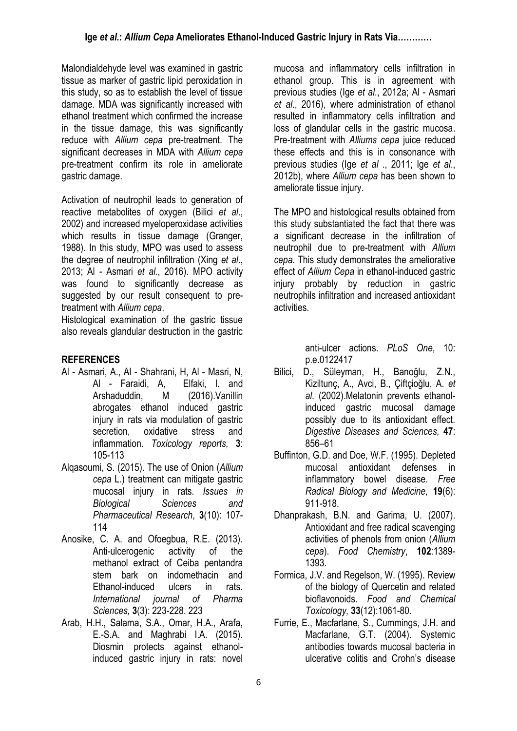Malondialdehyde level was examined in gastric tissue as marker of gastric lipid peroxidation in this study, so as to establish the level of tissue damage. MDA was significantly increased with ethanol treatment which confirmed the increase in the tissue damage, this was significantly reduce with *Allium cepa* pre-treatment. The significant decreases in MDA with *Allium cepa* pre-treatment confirm its role in ameliorate gastric damage.

Activation of neutrophil leads to generation of reactive metabolites of oxygen (Bilici *et al*., 2002) and increased myeloperoxidase activities which results in tissue damage (Granger, 1988). In this study, MPO was used to assess the degree of neutrophil infiltration (Xing *et al*., 2013; Al - Asmari *et al.*, 2016). MPO activity was found to significantly decrease as suggested by our result consequent to pretreatment with *Allium cepa*.

Histological examination of the gastric tissue also reveals glandular destruction in the gastric

# **REFERENCES**

- Al [Asmari,](file:///C:/Users/ACER/Desktop/Tunmise/Vanillin%20abrogates%20ethanol%20induced%20gastric%20injury%20in%20rats%20via%20modulation%20of%20gastric%20secretion,%20oxidative%20stress%20and%20inflammation.htm) A., Al [Shahrani,](file:///C:/Users/ACER/Desktop/Tunmise/Vanillin%20abrogates%20ethanol%20induced%20gastric%20injury%20in%20rats%20via%20modulation%20of%20gastric%20secretion,%20oxidative%20stress%20and%20inflammation.htm) H, Al [Masri,](file:///C:/Users/ACER/Desktop/Tunmise/Vanillin%20abrogates%20ethanol%20induced%20gastric%20injury%20in%20rats%20via%20modulation%20of%20gastric%20secretion,%20oxidative%20stress%20and%20inflammation.htm) N, Al - [Faraidi,](file:///C:/Users/ACER/Desktop/Tunmise/Vanillin%20abrogates%20ethanol%20induced%20gastric%20injury%20in%20rats%20via%20modulation%20of%20gastric%20secretion,%20oxidative%20stress%20and%20inflammation.htm) A, [Elfaki,](file:///C:/Users/ACER/Desktop/Tunmise/Vanillin%20abrogates%20ethanol%20induced%20gastric%20injury%20in%20rats%20via%20modulation%20of%20gastric%20secretion,%20oxidative%20stress%20and%20inflammation.htm) I. and Arshaduddin, M (2016).Vanillin abrogates ethanol induced gastric injury in rats via modulation of gastric secretion, oxidative stress and inflammation. *Toxicology reports,* **3**: 105-113
- Alqasoumi, S. (2015). The use of Onion (*Allium cepa* L.) treatment can mitigate gastric mucosal injury in rats. *Issues in Biological Sciences and Pharmaceutical Research*, **3**(10): 107- 114
- Anosike, C. A. and Ofoegbua, R.E. (2013). Anti-ulcerogenic activity of the methanol extract of Ceiba pentandra stem bark on indomethacin and Ethanol-induced ulcers in rats. *International journal of Pharma Sciences,* **3**(3): 223-228. 223
- Arab, H.H., Salama, S.A., Omar, H.A., Arafa, E.-S.A. and Maghrabi I.A. (2015). Diosmin protects against ethanolinduced gastric injury in rats: novel

mucosa and inflammatory cells infiltration in ethanol group. This is in agreement with previous studies (Ige *et al*., 2012a; Al - Asmari *et al*., 2016), where administration of ethanol resulted in inflammatory cells infiltration and loss of glandular cells in the gastric mucosa. Pre-treatment with *Alliums cepa* juice reduced these effects and this is in consonance with previous studies (Ige *et al* ., 2011; Ige *et al*., 2012b), where *Allium cepa* has been shown to ameliorate tissue injury.

The MPO and histological results obtained from this study substantiated the fact that there was a significant decrease in the infiltration of neutrophil due to pre-treatment with *Allium cepa*. This study demonstrates the ameliorative effect of *Allium Cepa* in ethanol-induced gastric injury probably by reduction in gastric neutrophils infiltration and increased antioxidant activities.

> anti-ulcer actions. *PLoS One*, 10: p.e.0122417

- Bilici, D., Süleyman, H., Banoğlu, Z.N., Kiziltunç, A., Avci, B., Çiftçioğlu, A. *et al*. (2002).Melatonin prevents ethanolinduced gastric mucosal damage possibly due to its antioxidant effect. *Digestive Diseases and Sciences,* **47**: 856–61
- Buffinton, G.D. and Doe, W.F. (1995). Depleted mucosal antioxidant defenses inflammatory bowel disease. *Free Radical Biology and Medicine,* **19**(6): 911-918.
- Dhanprakash, B.N. and Garima, U. (2007). Antioxidant and free radical scavenging activities of phenols from onion (*Allium cepa*). *Food Chemistry*, **102**:1389- 1393.
- Formica, J.V. and Regelson, W. (1995). Review of the biology of Quercetin and related bioflavonoids. *Food and Chemical Toxicology,* **33**(12):1061-80.
- Furrie, E., Macfarlane, S., Cummings, J.H. and Macfarlane, G.T. (2004). Systemic antibodies towards mucosal bacteria in ulcerative colitis and Crohn's disease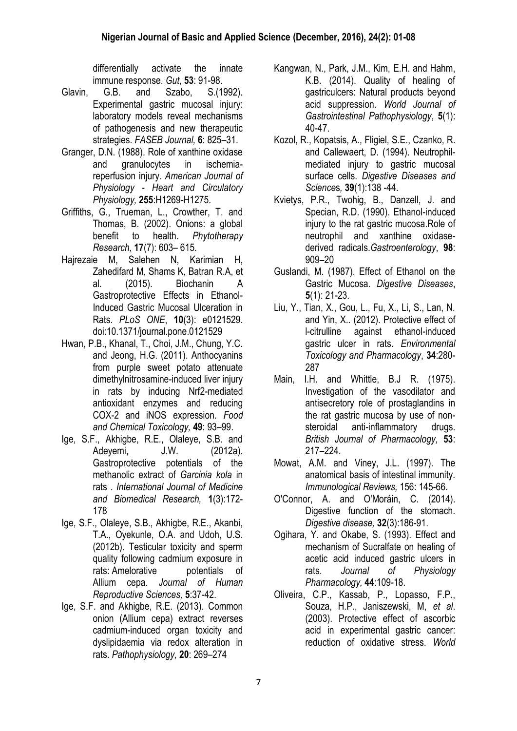differentially activate the innate immune response. *Gut*, **53**: 91-98.

- Glavin, G.B. and Szabo, S.(1992). Experimental gastric mucosal injury: laboratory models reveal mechanisms of pathogenesis and new therapeutic strategies. *FASEB Journal,* **6**: 825–31.
- Granger, D.N. (1988). Role of xanthine oxidase and granulocytes in ischemiareperfusion injury. *American Journal of Physiology - Heart and Circulatory Physiology,* **255**:H1269-H1275.
- Griffiths, G., Trueman, L., Crowther, T. and Thomas, B. (2002). Onions: a global benefit to health. *Phytotherapy Research,* **17**(7): 603– 615.
- Hajrezaie M, Salehen N, Karimian H, Zahedifard M, Shams K, Batran R.A, et al. (2015). Biochanin A Gastroprotective Effects in Ethanol-Induced Gastric Mucosal Ulceration in Rats. *PLoS ONE*, **10**(3): e0121529. doi:10.1371/journal.pone.0121529
- Hwan, P.B., Khanal, T., Choi, J.M., Chung, Y.C. and Jeong, H.G. (2011). Anthocyanins from purple sweet potato attenuate dimethylnitrosamine-induced liver injury in rats by inducing Nrf2-mediated antioxidant enzymes and reducing COX-2 and iNOS expression*. Food and Chemical Toxicology,* **49**: 93–99.
- Ige, S.F., Akhigbe, R.E., Olaleye, S.B. and Adeyemi, J.W. (2012a). Gastroprotective potentials of the methanolic extract of *Garcinia kola* in rats . *International Journal of Medicine and Biomedical Research,* **1**(3):172- 178
- Ige, S.F., Olaleye, S.B., Akhigbe, R.E., Akanbi, T.A., Oyekunle, O.A. and Udoh, U.S. (2012b). Testicular toxicity and sperm quality following cadmium exposure in rats: Amelorative potentials of Allium cepa. *Journal of Human Reproductive Sciences,* **5**:37-42.
- Ige, S.F. and Akhigbe, R.E. (2013). Common onion (Allium cepa) extract reverses cadmium-induced organ toxicity and dyslipidaemia via redox alteration in rats. *Pathophysiology,* **20**: 269–274
- Kangwan, N., Park, J.M., Kim, E.H. and Hahm, K.B. (2014). Quality of healing of gastriculcers: Natural products beyond acid suppression. *World Journal of Gastrointestinal Pathophysiology*, **5**(1): 40-47.
- [Kozol, R.](http://www.ncbi.nlm.nih.gov/pubmed/?term=Kozol%20R%5BAuthor%5D&cauthor=true&cauthor_uid=8281848), [Kopatsis, A.](http://www.ncbi.nlm.nih.gov/pubmed/?term=Kopatsis%20A%5BAuthor%5D&cauthor=true&cauthor_uid=8281848), [Fligiel, S.E.](http://www.ncbi.nlm.nih.gov/pubmed/?term=Fligiel%20SE%5BAuthor%5D&cauthor=true&cauthor_uid=8281848), [Czanko, R.](http://www.ncbi.nlm.nih.gov/pubmed/?term=Czanko%20R%5BAuthor%5D&cauthor=true&cauthor_uid=8281848) and [Callewaert, D.](http://www.ncbi.nlm.nih.gov/pubmed/?term=Callewaert%20D%5BAuthor%5D&cauthor=true&cauthor_uid=8281848) (1994). Neutrophilmediated injury to gastric mucosal surface cells. *Digestive [Diseases and](http://www.ncbi.nlm.nih.gov/pubmed/8281848) [Science](http://www.ncbi.nlm.nih.gov/pubmed/8281848)*s*,* **39**(1):138 -44.
- Kvietys, P.R., Twohig, B., Danzell, J. and Specian, R.D. (1990). Ethanol-induced injury to the rat gastric mucosa.Role of neutrophil and xanthine oxidasederived radicals.*Gastroenterology*, **98**: 909–20
- Guslandi, M. (1987). Effect of Ethanol on the Gastric Mucosa. *Digestive Diseases*, **5**(1): 21-23.
- Liu, Y., Tian, X., Gou, L., Fu, X., Li, S., Lan, N. and Yin, X.. (2012). Protective effect of l-citrulline against ethanol-induced gastric ulcer in rats. *Environmental Toxicology and Pharmacology*, **34**:280- 287
- Main, I.H. and Whittle, B.J R. (1975). Investigation of the vasodilator and antisecretory role of prostaglandins in the rat gastric mucosa by use of nonsteroidal anti-inflammatory drugs. *British Journal of Pharmacology,* **53**: 217–224.
- Mowat, A.M. and Viney, J.L. (1997). The anatomical basis of intestinal immunity. *Immunological Reviews,* 156: 145-66.
- [O'Connor, A.](https://www.ncbi.nlm.nih.gov/pubmed/?term=O%27Connor%20A%5BAuthor%5D&cauthor=true&cauthor_uid=24732181) and [O'Moráin, C.](https://www.ncbi.nlm.nih.gov/pubmed/?term=O%27Mor%C3%A1in%20C%5BAuthor%5D&cauthor=true&cauthor_uid=24732181) (2014). Digestive function of the stomach. *Digestive disease,* **32**(3):186-91.
- Ogihara, Y. and Okabe, S. (1993). Effect and mechanism of Sucralfate on healing of acetic acid induced gastric ulcers in rats. *Journal of Physiology Pharmacology,* **44**:109-18.
- Oliveira, C.P., Kassab, P., Lopasso, F.P., Souza, H.P., Janiszewski, M, *et al*. (2003). Protective effect of ascorbic acid in experimental gastric cancer: reduction of oxidative stress. *World*